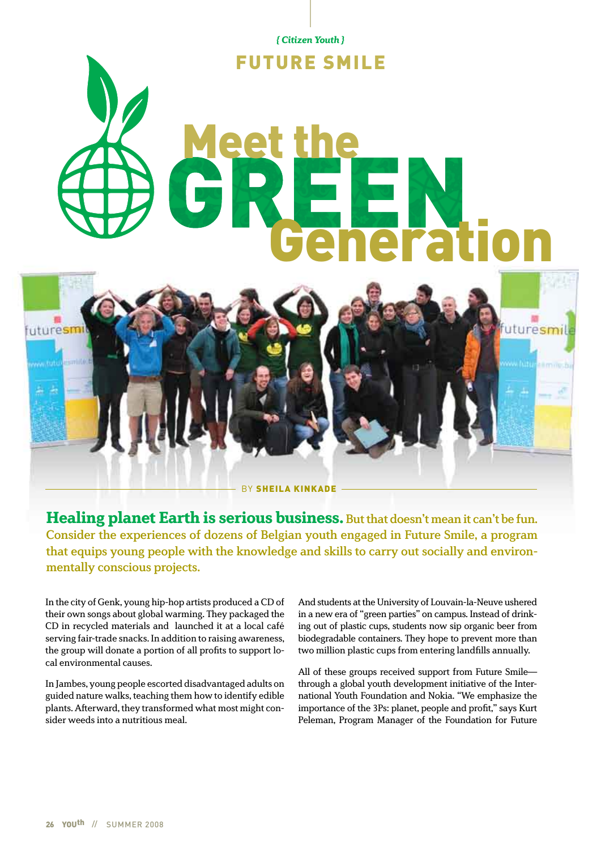*{ Citizen Youth }* 

# URE SMILE

# Meet the **Generation**



Healing planet Earth is serious business. But that doesn't mean it can't be fun. Consider the experiences of dozens of Belgian youth engaged in Future Smile, a program that equips young people with the knowledge and skills to carry out socially and environmentally conscious projects.

In the city of Genk, young hip-hop artists produced a CD of their own songs about global warming. They packaged the CD in recycled materials and launched it at a local café serving fair-trade snacks. In addition to raising awareness, the group will donate a portion of all profits to support local environmental causes.

In Jambes, young people escorted disadvantaged adults on guided nature walks, teaching them how to identify edible plants. Afterward, they transformed what most might consider weeds into a nutritious meal.

And students at the University of Louvain-la-Neuve ushered in a new era of "green parties" on campus. Instead of drinking out of plastic cups, students now sip organic beer from biodegradable containers. They hope to prevent more than two million plastic cups from entering landfills annually.

All of these groups received support from Future Smile through a global youth development initiative of the International Youth Foundation and Nokia. "We emphasize the importance of the 3Ps: planet, people and profit," says Kurt Peleman, Program Manager of the Foundation for Future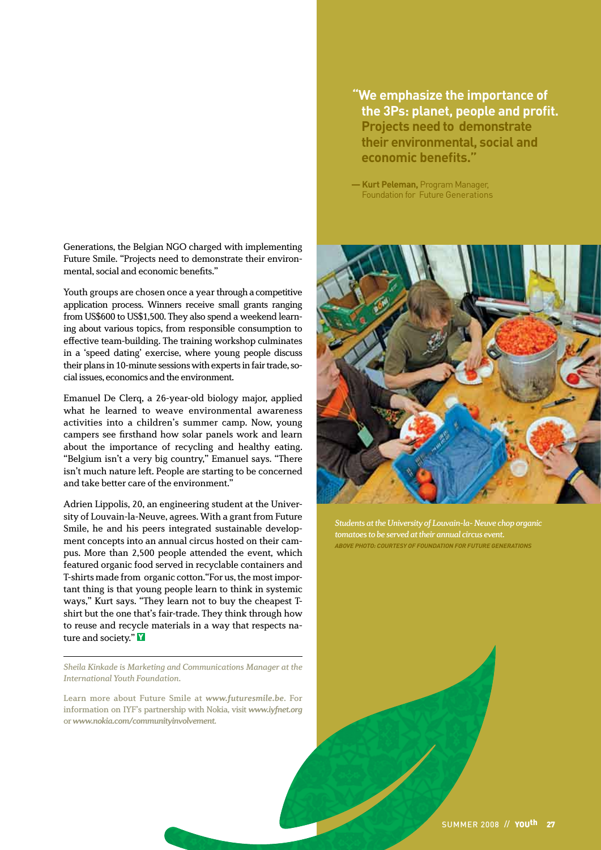Generations, the Belgian NGO charged with implementing Future Smile. "Projects need to demonstrate their environmental, social and economic benefits."

Youth groups are chosen once a year through a competitive application process. Winners receive small grants ranging from US\$600 to US\$1,500. They also spend a weekend learning about various topics, from responsible consumption to effective team-building. The training workshop culminates in a 'speed dating' exercise, where young people discuss their plans in 10-minute sessions with experts in fair trade, social issues, economics and the environment.

Emanuel De Clerq, a 26-year-old biology major, applied what he learned to weave environmental awareness activities into a children's summer camp. Now, young campers see firsthand how solar panels work and learn about the importance of recycling and healthy eating. "Belgium isn't a very big country," Emanuel says. "There isn't much nature left. People are starting to be concerned and take better care of the environment."

Adrien Lippolis, 20, an engineering student at the University of Louvain-la-Neuve, agrees. With a grant from Future Smile, he and his peers integrated sustainable development concepts into an annual circus hosted on their campus. More than 2,500 people attended the event, which featured organic food served in recyclable containers and T-shirts made from organic cotton."For us, the most important thing is that young people learn to think in systemic ways," Kurt says. "They learn not to buy the cheapest Tshirt but the one that's fair-trade. They think through how to reuse and recycle materials in a way that respects nature and society." **Y** 

Sheila Kinkade is Marketing and Communications Manager at the International Youth Foundation.

Learn more about Future Smile at *www.futuresmile.be*. For information on IYF's partnership with Nokia, visit *www.iyfnet.org* or *www.nokia.com/communityinvolvement*.

**"We emphasize the importance of the 3Ps: planet, people and profit. Projects need to demonstrate their environmental, social and economic benefits."**

**— Kurt Peleman,** Program Manager, Foundation for Future Generations



Students at the University of Louvain-la- Neuve chop organic tomatoes to be served at their annual circus event. *above pHOTO: Courtesy of foundation for future generations*